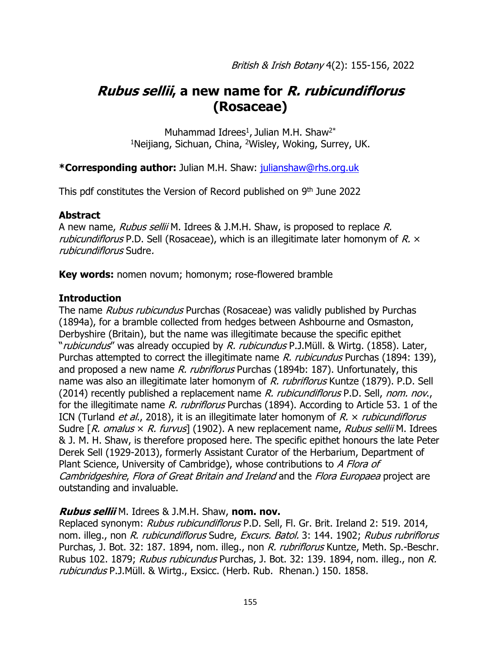# **Rubus sellii, a new name for R. rubicundiflorus (Rosaceae)**

Muhammad Idrees<sup>1</sup>, Julian M.H. Shaw<sup>2\*</sup> <sup>1</sup>Neijiang, Sichuan, China, <sup>2</sup>Wisley, Woking, Surrey, UK.

## **\*Corresponding author:** Julian M.H. Shaw: [julianshaw@rhs.org.uk](mailto:julianshaw@rhs.org.uk)

This pdf constitutes the Version of Record published on 9<sup>th</sup> June 2022

## **Abstract**

A new name, Rubus sellii M. Idrees & J.M.H. Shaw, is proposed to replace R. *rubicundiflorus* P.D. Sell (Rosaceae), which is an illegitimate later homonym of  $R \times$ rubicundiflorus Sudre.

**Key words:** nomen novum; homonym; rose-flowered bramble

#### **Introduction**

The name Rubus rubicundus Purchas (Rosaceae) was validly published by Purchas (1894a), for a bramble collected from hedges between Ashbourne and Osmaston, Derbyshire (Britain), but the name was illegitimate because the specific epithet "rubicundus" was already occupied by R. rubicundus P.J.Müll. & Wirtg. (1858). Later, Purchas attempted to correct the illegitimate name R. rubicundus Purchas (1894: 139), and proposed a new name R. rubriflorus Purchas (1894b: 187). Unfortunately, this name was also an illegitimate later homonym of R. rubriflorus Kuntze (1879). P.D. Sell (2014) recently published a replacement name R. rubicundiflorus P.D. Sell, nom. nov., for the illegitimate name R. rubriflorus Purchas (1894). According to Article 53. 1 of the ICN (Turland et al., 2018), it is an illegitimate later homonym of  $R \times$  *rubicundiflorus* Sudre  $[R.$  omalus  $\times$  R. furvus] (1902). A new replacement name, Rubus sellii M. Idrees & J. M. H. Shaw, is therefore proposed here. The specific epithet honours the late Peter Derek Sell (1929-2013), formerly Assistant Curator of the Herbarium, Department of Plant Science, University of Cambridge), whose contributions to A Flora of Cambridgeshire, Flora of Great Britain and Ireland and the Flora Europaea project are outstanding and invaluable.

#### **Rubus sellii** M. Idrees & J.M.H. Shaw, **nom. nov.**

Replaced synonym: Rubus rubicundiflorus P.D. Sell, Fl. Gr. Brit. Ireland 2: 519. 2014, nom. illeg., non R. rubicundiflorus Sudre, Excurs. Batol. 3: 144. 1902; Rubus rubriflorus Purchas, J. Bot. 32: 187. 1894, nom. illeg., non R. rubriflorus Kuntze, Meth. Sp.-Beschr. Rubus 102. 1879; Rubus rubicundus Purchas, J. Bot. 32: 139. 1894, nom. illeg., non R. rubicundus P.J.Müll. & Wirtg., Exsicc. (Herb. Rub. Rhenan.) 150. 1858.